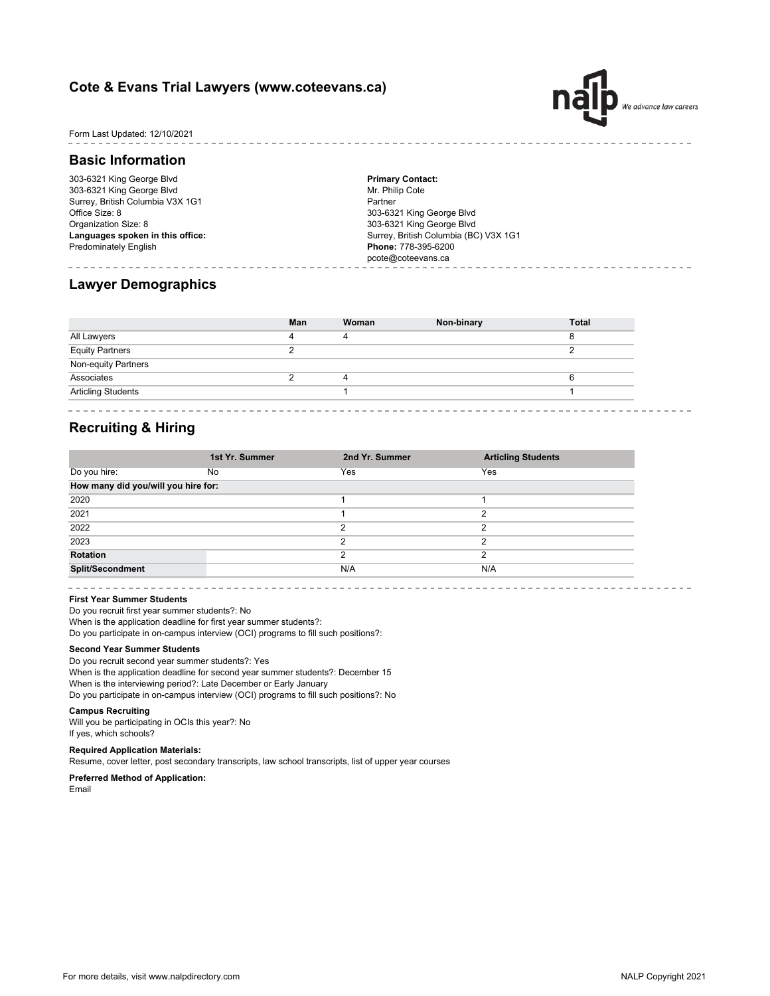## **Cote & Evans Trial Lawyers (www.coteevans.ca)**



- - - - - - - -

### Form Last Updated: 12/10/2021

### **Basic Information**

303-6321 King George Blvd 303-6321 King George Blvd Surrey, British Columbia V3X 1G1 Office Size: 8 Organization Size: 8 **Languages spoken in this office:** Predominately English

**Primary Contact:** Mr. Philip Cote Partner 303-6321 King George Blvd 303-6321 King George Blvd Surrey, British Columbia (BC) V3X 1G1 **Phone:** 778-395-6200 pcote@coteevans.ca

## **Lawyer Demographics**

|                                        | Man | Woman | Non-binary | Total |
|----------------------------------------|-----|-------|------------|-------|
| All Lawyers                            | 4   |       |            | 8     |
| Equity Partners<br>Non-equity Partners |     |       |            |       |
|                                        |     |       |            |       |
| Associates                             |     |       |            |       |
| <b>Articling Students</b>              |     |       |            |       |

## **Recruiting & Hiring**

|                                     | 1st Yr. Summer | 2nd Yr. Summer | <b>Articling Students</b> |
|-------------------------------------|----------------|----------------|---------------------------|
| Do you hire:                        | No             | Yes            | Yes                       |
| How many did you/will you hire for: |                |                |                           |
| 2020                                |                |                |                           |
| 2021                                |                |                | っ                         |
| 2022                                |                | 2              | ◠                         |
| 2023                                |                | っ              | C                         |
| Rotation                            |                | າ              | ົ                         |
| <b>Split/Secondment</b>             |                | N/A            | N/A                       |

#### **First Year Summer Students**

When is the application deadline for first year summer students?: Do you participate in on-campus interview (OCI) programs to fill such positions?: Do you recruit first year summer students?: No

#### **Second Year Summer Students**

When is the application deadline for second year summer students?: December 15 When is the interviewing period?: Late December or Early January Do you participate in on-campus interview (OCI) programs to fill such positions?: No Do you recruit second year summer students?: Yes

#### **Campus Recruiting**

Will you be participating in OCIs this year?: No If yes, which schools?

#### **Required Application Materials:**

Resume, cover letter, post secondary transcripts, law school transcripts, list of upper year courses

#### **Preferred Method of Application:**

Email